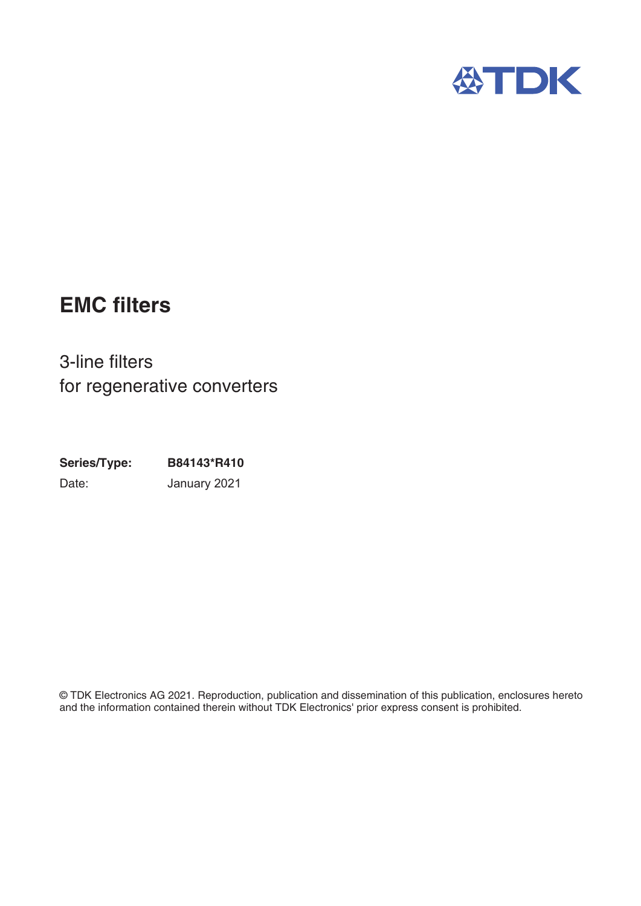

# **EMC filters**

3-line filters for regenerative converters

**Series/Type: B84143\*R410** Date: January 2021

© TDK Electronics AG 2021. Reproduction, publication and dissemination of this publication, enclosures hereto and the information contained therein without TDK Electronics' prior express consent is prohibited.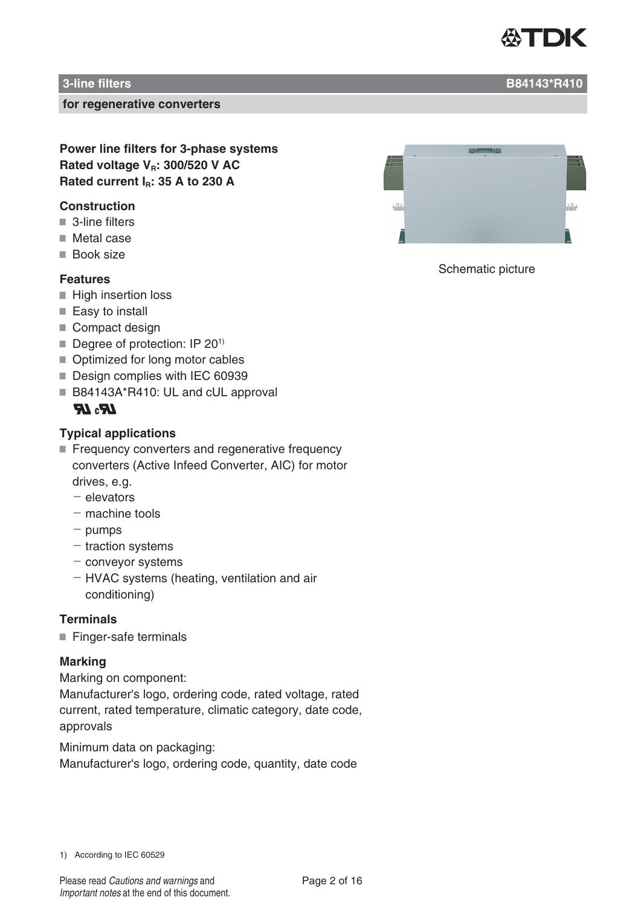

### **3-line filters B84143\*R410**

#### **for regenerative converters**

**Power line filters for 3-phase systems Rated voltage V<sub>R</sub>: 300/520 V AC** Rated current I<sub>B</sub>: 35 A to 230 A

### **Construction**

- 3-line filters
- Metal case
- **Book size**

## **Features**

- $\blacksquare$  High insertion loss
- Easy to install
- Compact design
- Degree of protection: IP 20<sup>1)</sup>
- Optimized for long motor cables
- Design complies with IEC 60939
- B84143A\*R410: UL and cUL approval

# $LR<sub>2</sub> IR$

### **Typical applications**

- Frequency converters and regenerative frequency converters (Active Infeed Converter, AIC) for motor drives, e.g.
	- $-$  elevators
	- $-$  machine tools
	- $-$  pumps
	- $-$  traction systems
	- $-$  conveyor systems
	- HVAC systems (heating, ventilation and air conditioning)

### **Terminals**

Finger-safe terminals

#### **Marking**

Marking on component: Manufacturer's logo, ordering code, rated voltage, rated current, rated temperature, climatic category, date code, approvals

Minimum data on packaging: Manufacturer's logo, ordering code, quantity, date code

Schematic picture

1) According to IEC 60529

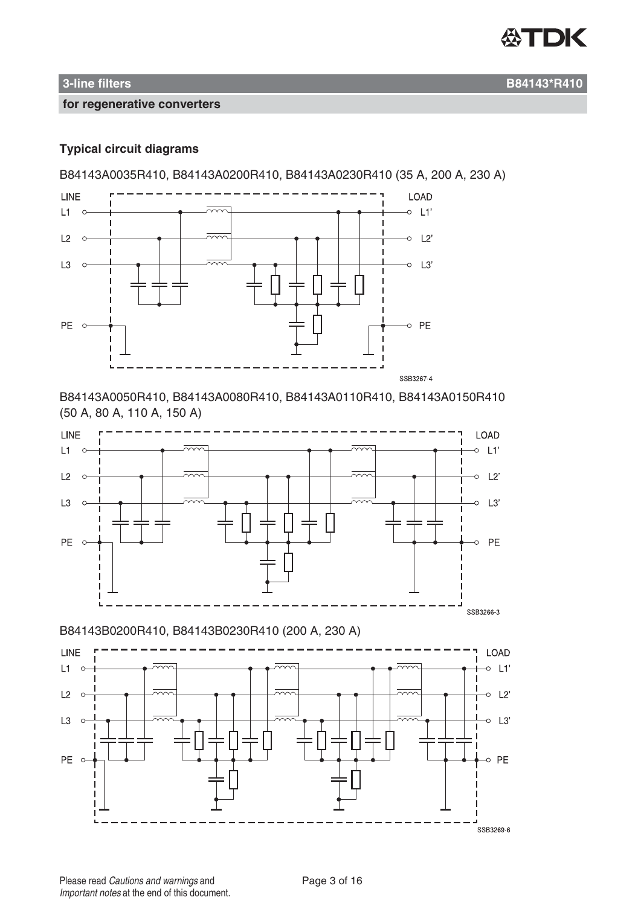

### **Typical circuit diagrams**

B84143A0035R410, B84143A0200R410, B84143A0230R410 (35 A, 200 A, 230 A)



B84143A0050R410, B84143A0080R410, B84143A0110R410, B84143A0150R410 (50 A, 80 A, 110 A, 150 A)



B84143B0200R410, B84143B0230R410 (200 A, 230 A)

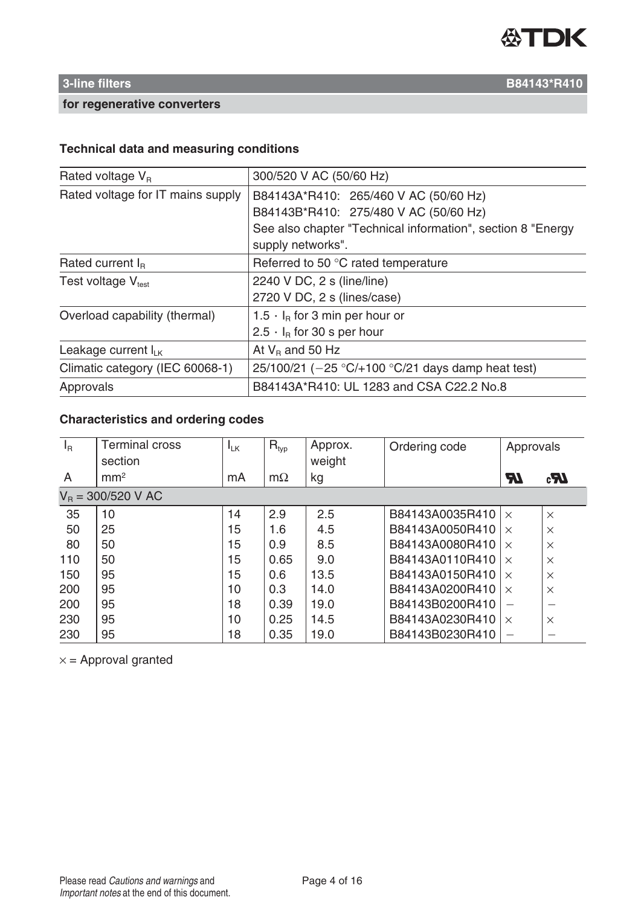

# **Technical data and measuring conditions**

| 300/520 V AC (50/60 Hz)                                     |  |  |
|-------------------------------------------------------------|--|--|
| B84143A*R410: 265/460 V AC (50/60 Hz)                       |  |  |
| B84143B*R410: 275/480 V AC (50/60 Hz)                       |  |  |
| See also chapter "Technical information", section 8 "Energy |  |  |
| supply networks".                                           |  |  |
| Referred to 50 °C rated temperature                         |  |  |
| 2240 V DC, 2 s (line/line)                                  |  |  |
| 2720 V DC, 2 s (lines/case)                                 |  |  |
| 1.5 $\cdot$ I <sub>B</sub> for 3 min per hour or            |  |  |
| $2.5 \cdot I_B$ for 30 s per hour                           |  |  |
| At $V_B$ and 50 Hz                                          |  |  |
| 25/100/21 ( $-25$ °C/+100 °C/21 days damp heat test)        |  |  |
| B84143A*R410: UL 1283 and CSA C22.2 No.8                    |  |  |
|                                                             |  |  |

# **Characteristics and ordering codes**

| $I_R$                | <b>Terminal cross</b> | $I_{LK}$ | $R_{\text{typ}}$ | Approx. | Ordering code   | Approvals |                    |
|----------------------|-----------------------|----------|------------------|---------|-----------------|-----------|--------------------|
|                      | section               |          |                  | weight  |                 |           |                    |
| $\overline{A}$       | mm <sup>2</sup>       | mA       | $m\Omega$        | kg      |                 | <b>AT</b> | $c_{\overline{A}}$ |
| $V_B = 300/520$ V AC |                       |          |                  |         |                 |           |                    |
| 35                   | 10                    | 14       | 2.9              | 2.5     | B84143A0035R410 | $\times$  | $\times$           |
| 50                   | 25                    | 15       | 1.6              | 4.5     | B84143A0050R410 | $\times$  | $\times$           |
| 80                   | 50                    | 15       | 0.9              | 8.5     | B84143A0080R410 | $\times$  | $\times$           |
| 110                  | 50                    | 15       | 0.65             | 9.0     | B84143A0110R410 | $\times$  | $\times$           |
| 150                  | 95                    | 15       | 0.6              | 13.5    | B84143A0150R410 | $\times$  | $\times$           |
| 200                  | 95                    | 10       | 0.3              | 14.0    | B84143A0200R410 | $\times$  | $\times$           |
| 200                  | 95                    | 18       | 0.39             | 19.0    | B84143B0200R410 |           |                    |
| 230                  | 95                    | 10       | 0.25             | 14.5    | B84143A0230R410 | $\times$  | $\times$           |
| 230                  | 95                    | 18       | 0.35             | 19.0    | B84143B0230R410 |           |                    |

 $x =$  Approval granted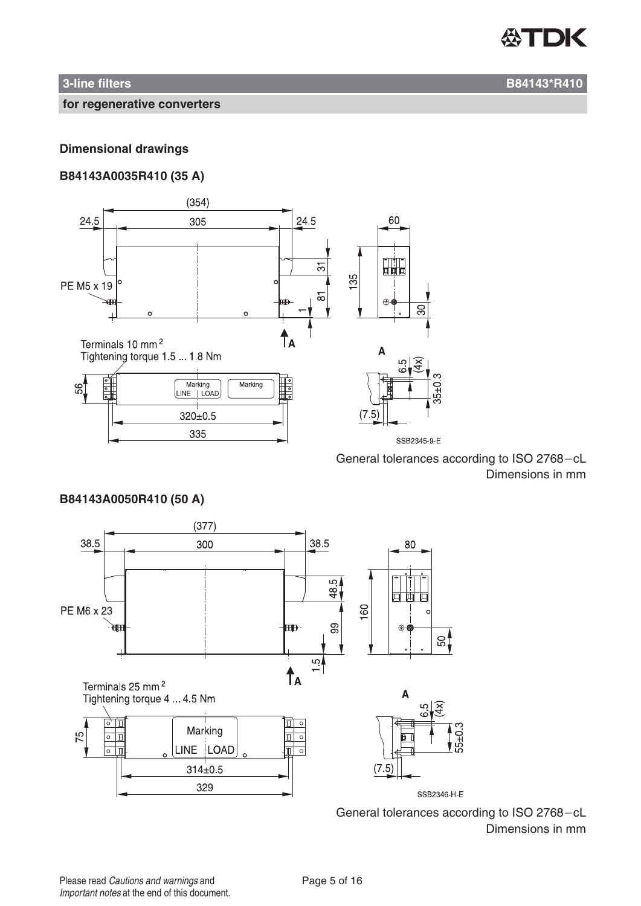

### **Dimensional drawings**

### **B84143A0035R410 (35 A)**



General tolerances according to ISO 2768-cL Dimensions in mm



**B84143A0050R410 (50 A)**

General tolerances according to ISO 2768-cL Dimensions in mm

### **3-line filters B84143\*R410**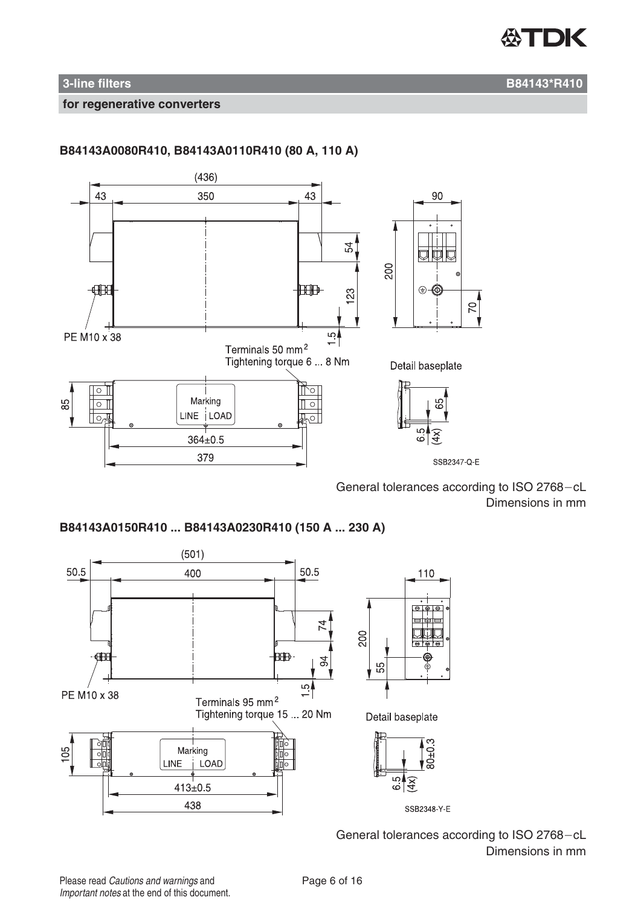

### **3-line filters B84143\*R410**

#### **for regenerative converters**



**B84143A0080R410, B84143A0110R410 (80 A, 110 A)**

General tolerances according to ISO 2768-cL Dimensions in mm

**B84143A0150R410 ... B84143A0230R410 (150 A ... 230 A)**



General tolerances according to ISO 2768-cL Dimensions in mm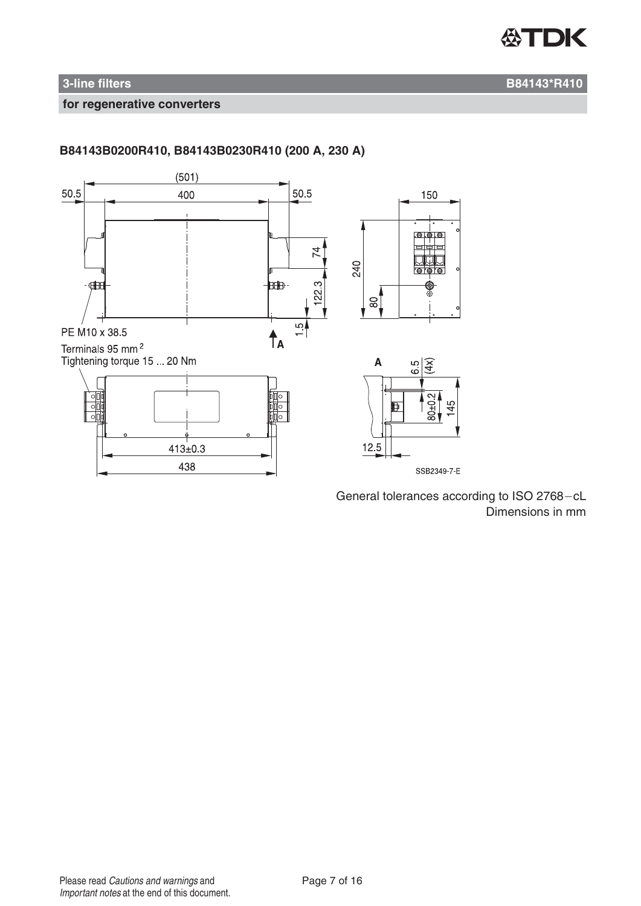

# **3-line filters B84143\*R410**

#### **for regenerative converters**

# **B84143B0200R410, B84143B0230R410 (200 A, 230 A)**



General tolerances according to ISO 2768-cL Dimensions in mm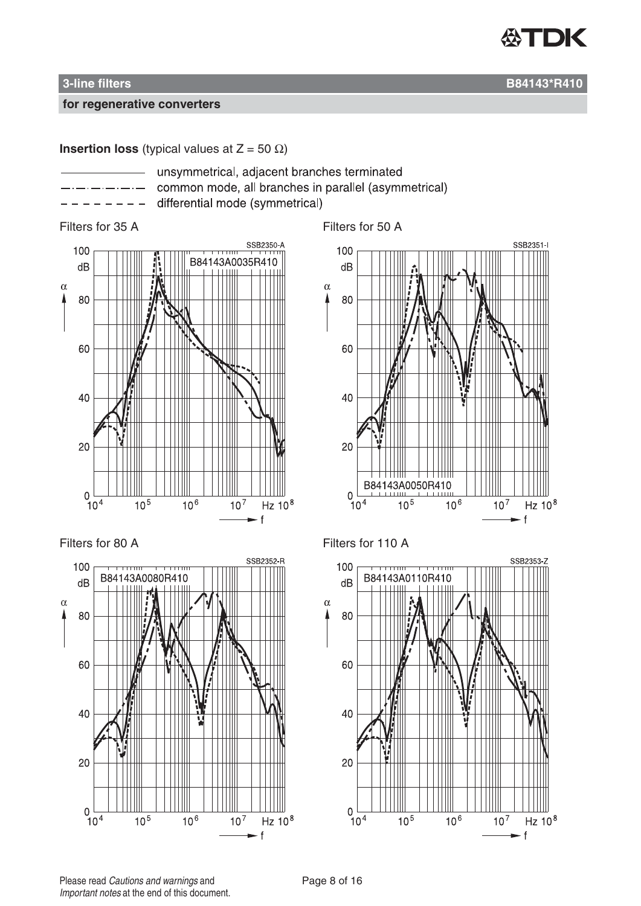

**Insertion loss** (typical values at  $Z = 50 \Omega$ )

- 
- unsymmetrical, adjacent branches terminated common mode, all branches in parallel (asymmetrical)
	- differential mode (symmetrical)





Filters for 35 A Filters for 50 A







Please read Cautions and warnings and <br>
Page 8 of 16 Important notes at the end of this document.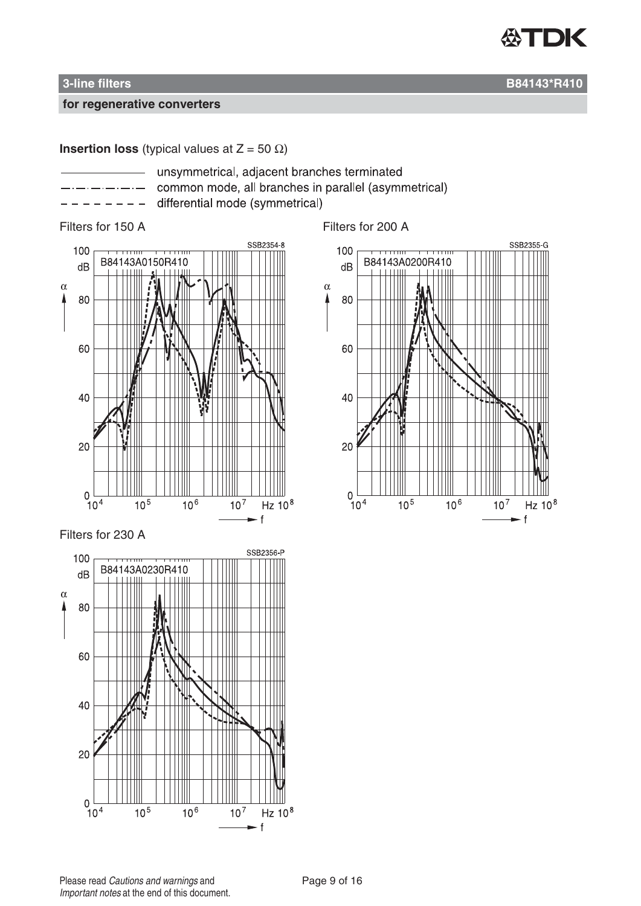

**Insertion loss** (typical values at  $Z = 50 \Omega$ )

- unsymmetrical, adjacent branches terminated
	- common mode, all branches in parallel (asymmetrical)
- differential mode (symmetrical)



#### Filters for 230 A



Filters for 150 A Filters for 200 A

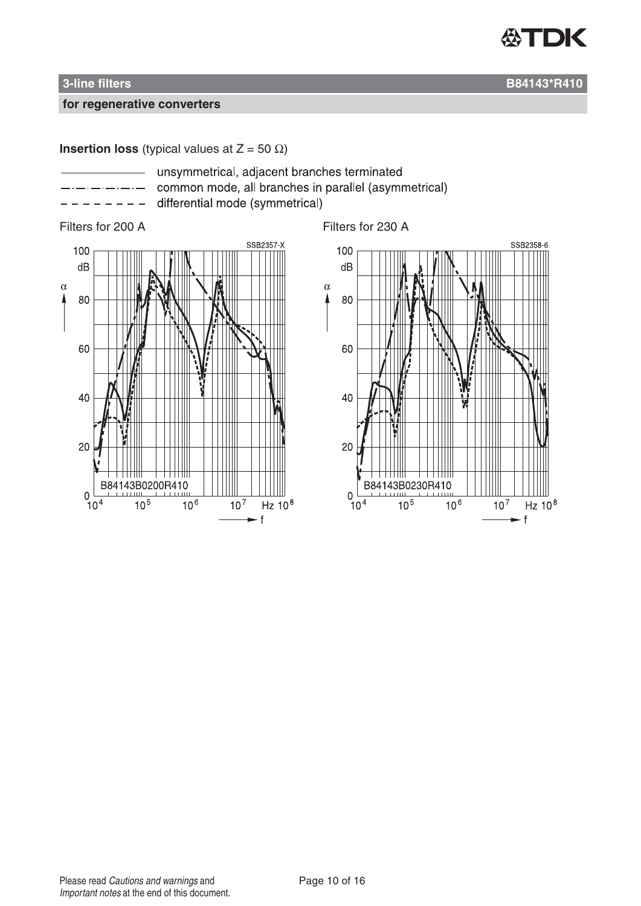

**Insertion loss** (typical values at  $Z = 50 \Omega$ )

- unsymmetrical, adjacent branches terminated
- common mode, all branches in parallel (asymmetrical)
	- differential mode (symmetrical)

### Filters for 200 A Filters for 230 A



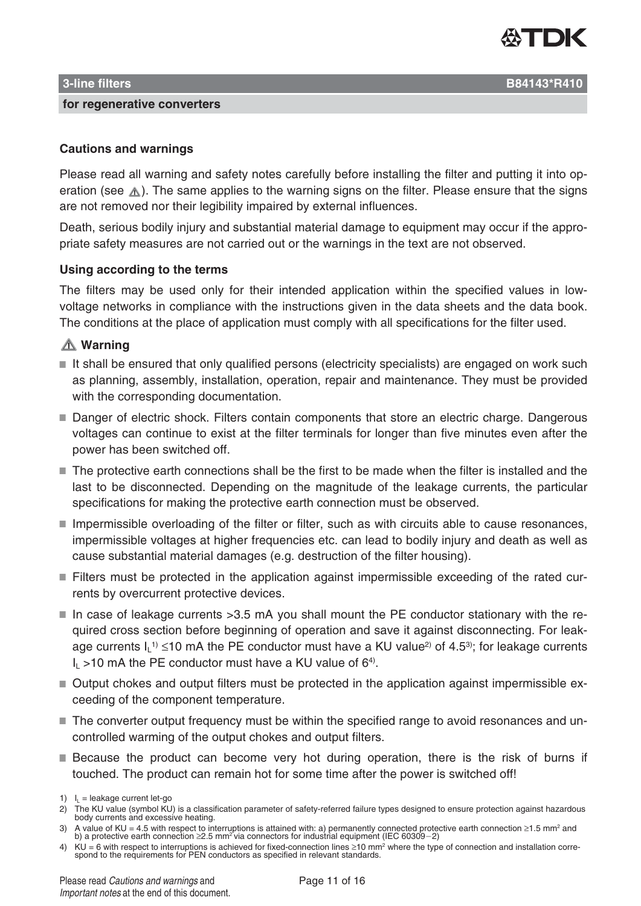

Please read all warning and safety notes carefully before installing the filter and putting it into operation (see  $\triangle$ ). The same applies to the warning signs on the filter. Please ensure that the signs are not removed nor their legibility impaired by external influences.

Death, serious bodily injury and substantial material damage to equipment may occur if the appropriate safety measures are not carried out or the warnings in the text are not observed.

### **Using according to the terms**

The filters may be used only for their intended application within the specified values in lowvoltage networks in compliance with the instructions given in the data sheets and the data book. The conditions at the place of application must comply with all specifications for the filter used.

### **Warning**

- $\blacksquare$  It shall be ensured that only qualified persons (electricity specialists) are engaged on work such as planning, assembly, installation, operation, repair and maintenance. They must be provided with the corresponding documentation.
- Danger of electric shock. Filters contain components that store an electric charge. Dangerous voltages can continue to exist at the filter terminals for longer than five minutes even after the power has been switched off.
- The protective earth connections shall be the first to be made when the filter is installed and the last to be disconnected. Depending on the magnitude of the leakage currents, the particular specifications for making the protective earth connection must be observed.
- Impermissible overloading of the filter or filter, such as with circuits able to cause resonances, impermissible voltages at higher frequencies etc. can lead to bodily injury and death as well as cause substantial material damages (e.g. destruction of the filter housing).
- Filters must be protected in the application against impermissible exceeding of the rated currents by overcurrent protective devices.
- In case of leakage currents  $>3.5$  mA you shall mount the PE conductor stationary with the required cross section before beginning of operation and save it against disconnecting. For leakage currents  $I_L$ <sup>1)</sup> ≤10 mA the PE conductor must have a KU value<sup>2)</sup> of 4.5<sup>3)</sup>; for leakage currents  $I_1$  >10 mA the PE conductor must have a KU value of 6<sup>4)</sup>.
- Output chokes and output filters must be protected in the application against impermissible exceeding of the component temperature.
- The converter output frequency must be within the specified range to avoid resonances and uncontrolled warming of the output chokes and output filters.
- **Because the product can become very hot during operation, there is the risk of burns if** touched. The product can remain hot for some time after the power is switched off!

- 3) A value of KU = 4.5 with respect to interruptions is attained with: a) permanently connected protective earth connection ≥1.5 mm<sup>2</sup> and<br>b) a protective earth connection ≥2.5 mm<sup>2</sup> via connectors for industrial equipme
- 4) KU = 6 with respect to interruptions is achieved for fixed-connection lines  $\geq$ 10 mm<sup>2</sup> where the type of connection and installation corre-<br>spond to the requirements for PEN conductors as specified in relevant stand

<sup>1)</sup>  $I_L$  = leakage current let-go

<sup>2)</sup> The KU value (symbol KU) is a classification parameter of safety-referred failure types designed to ensure protection against hazardous body currents and excessive heating.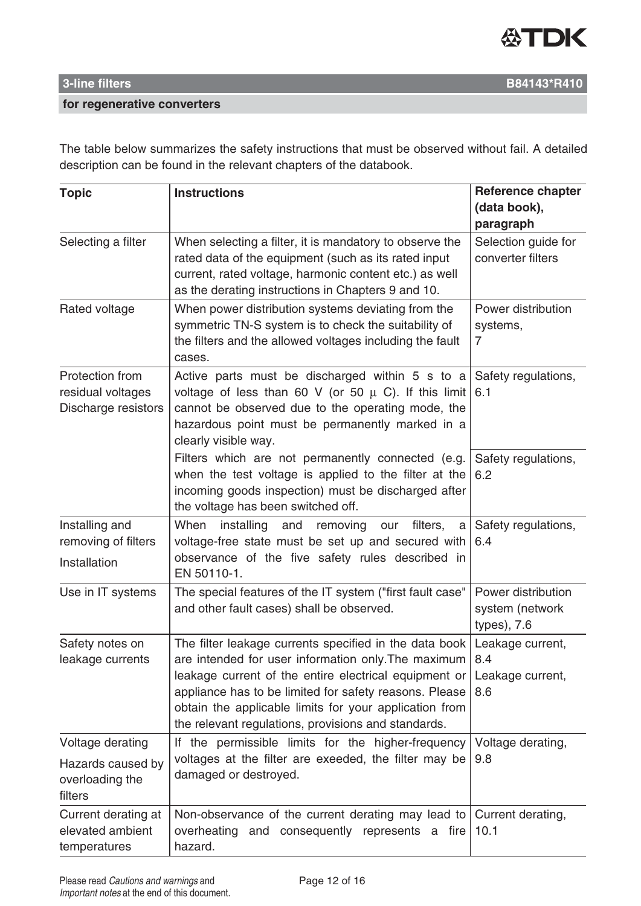

The table below summarizes the safety instructions that must be observed without fail. A detailed description can be found in the relevant chapters of the databook.

| <b>Topic</b>                                                | <b>Instructions</b>                                                                                                                                                                                                                                                                                                                               | Reference chapter                                    |  |
|-------------------------------------------------------------|---------------------------------------------------------------------------------------------------------------------------------------------------------------------------------------------------------------------------------------------------------------------------------------------------------------------------------------------------|------------------------------------------------------|--|
|                                                             |                                                                                                                                                                                                                                                                                                                                                   | (data book),<br>paragraph                            |  |
| Selecting a filter                                          | When selecting a filter, it is mandatory to observe the<br>rated data of the equipment (such as its rated input<br>current, rated voltage, harmonic content etc.) as well<br>as the derating instructions in Chapters 9 and 10.                                                                                                                   | Selection guide for<br>converter filters             |  |
| Rated voltage                                               | When power distribution systems deviating from the<br>symmetric TN-S system is to check the suitability of<br>the filters and the allowed voltages including the fault<br>cases.                                                                                                                                                                  | Power distribution<br>systems,<br>7                  |  |
| Protection from<br>residual voltages<br>Discharge resistors | Active parts must be discharged within 5 s to a<br>voltage of less than 60 V (or 50 $\mu$ C). If this limit<br>cannot be observed due to the operating mode, the<br>hazardous point must be permanently marked in a<br>clearly visible way.                                                                                                       | Safety regulations,<br>6.1                           |  |
|                                                             | Filters which are not permanently connected (e.g.<br>when the test voltage is applied to the filter at the<br>incoming goods inspection) must be discharged after<br>the voltage has been switched off.                                                                                                                                           | Safety regulations,<br>6.2                           |  |
| Installing and<br>removing of filters<br>Installation       | When<br>installing<br>and<br>removing<br>filters,<br>our<br>a<br>voltage-free state must be set up and secured with<br>observance of the five safety rules described in<br>EN 50110-1.                                                                                                                                                            | Safety regulations,<br>6.4                           |  |
| Use in IT systems                                           | The special features of the IT system ("first fault case"<br>and other fault cases) shall be observed.                                                                                                                                                                                                                                            | Power distribution<br>system (network<br>types), 7.6 |  |
| Safety notes on<br>leakage currents                         | The filter leakage currents specified in the data book<br>are intended for user information only. The maximum<br>leakage current of the entire electrical equipment or<br>appliance has to be limited for safety reasons. Please<br>obtain the applicable limits for your application from<br>the relevant regulations, provisions and standards. | Leakage current,<br>8.4<br>Leakage current,<br>8.6   |  |
| Voltage derating                                            | If the permissible limits for the higher-frequency                                                                                                                                                                                                                                                                                                | Voltage derating,                                    |  |
| Hazards caused by<br>overloading the<br>filters             | voltages at the filter are exeeded, the filter may be<br>damaged or destroyed.                                                                                                                                                                                                                                                                    | 9.8                                                  |  |
| Current derating at<br>elevated ambient<br>temperatures     | Non-observance of the current derating may lead to<br>overheating and consequently represents a fire<br>hazard.                                                                                                                                                                                                                                   | Current derating,<br>10.1                            |  |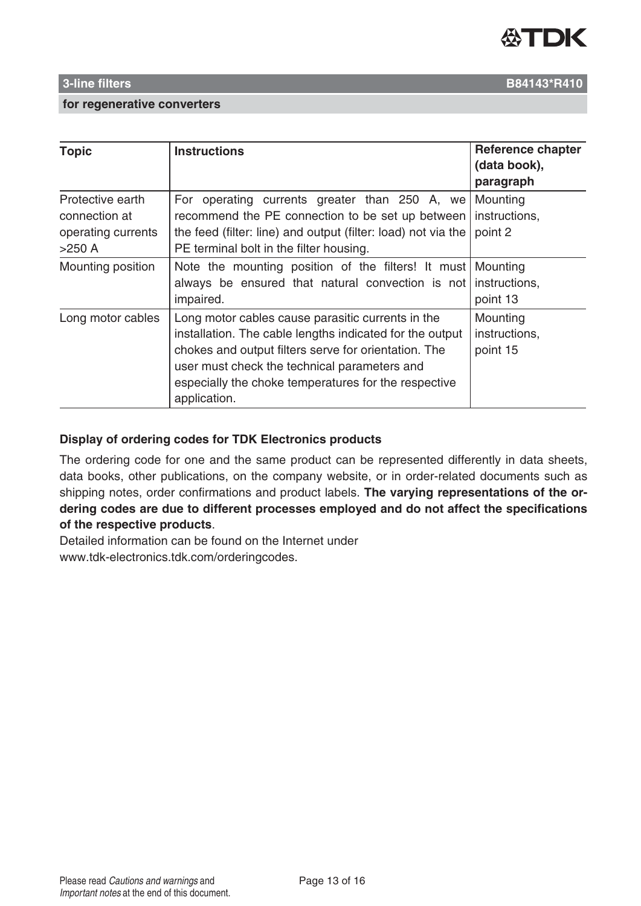

| Topic              | <b>Instructions</b>                                            | <b>Reference chapter</b> |
|--------------------|----------------------------------------------------------------|--------------------------|
|                    |                                                                | (data book),             |
|                    |                                                                | paragraph                |
| Protective earth   | For operating currents greater than 250 A, we Mounting         |                          |
| connection at      | recommend the PE connection to be set up between               | instructions.            |
| operating currents | the feed (filter: line) and output (filter: load) not via the  | point 2                  |
| >250 A             | PE terminal bolt in the filter housing.                        |                          |
| Mounting position  | Note the mounting position of the filters! It must Mounting    |                          |
|                    | always be ensured that natural convection is not instructions, |                          |
|                    | impaired.                                                      | point 13                 |
| Long motor cables  | Long motor cables cause parasitic currents in the              | Mounting                 |
|                    | installation. The cable lengths indicated for the output       | instructions,            |
|                    | chokes and output filters serve for orientation. The           | point 15                 |
|                    | user must check the technical parameters and                   |                          |
|                    | especially the choke temperatures for the respective           |                          |
|                    |                                                                |                          |

### **Display of ordering codes for TDK Electronics products**

application.

The ordering code for one and the same product can be represented differently in data sheets, data books, other publications, on the company website, or in order-related documents such as shipping notes, order confirmations and product labels. **The varying representations of the ordering codes are due to different processes employed and do not affect the specifications of the respective products**.

Detailed information can be found on the Internet under www.tdk-electronics.tdk.com/orderingcodes.

**3-line filters B84143\*R410**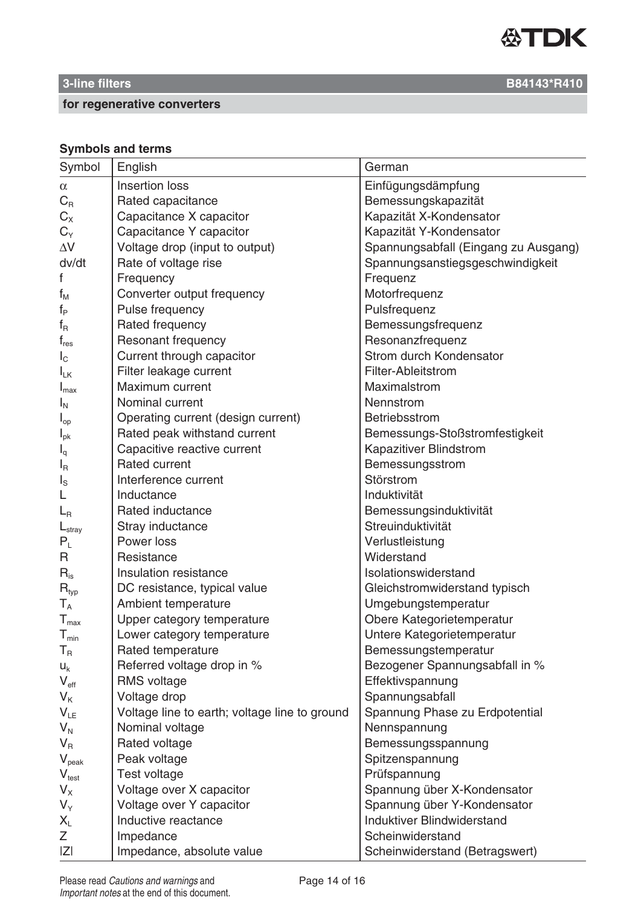

# **Symbols and terms**

| Symbol                       | English                                       | German                               |
|------------------------------|-----------------------------------------------|--------------------------------------|
| $\alpha$                     | Insertion loss                                | Einfügungsdämpfung                   |
| $C_{R}$                      | Rated capacitance                             | Bemessungskapazität                  |
| $C_{X}$                      | Capacitance X capacitor                       | Kapazität X-Kondensator              |
| $C_Y$                        | Capacitance Y capacitor                       | Kapazität Y-Kondensator              |
| $\Delta \rm{V}$              | Voltage drop (input to output)                | Spannungsabfall (Eingang zu Ausgang) |
| dv/dt                        | Rate of voltage rise                          | Spannungsanstiegsgeschwindigkeit     |
| f                            | Frequency                                     | Frequenz                             |
| $f_{M}$                      | Converter output frequency                    | Motorfrequenz                        |
| $f_P$                        | Pulse frequency                               | Pulsfrequenz                         |
| $f_R$                        | Rated frequency                               | Bemessungsfrequenz                   |
| $f_{res}$                    | <b>Resonant frequency</b>                     | Resonanzfrequenz                     |
| $I_{\rm C}$                  | Current through capacitor                     | Strom durch Kondensator              |
| $I_{LK}$                     | Filter leakage current                        | Filter-Ableitstrom                   |
| $I_{\text{max}}$             | Maximum current                               | Maximalstrom                         |
| $I_N$                        | Nominal current                               | Nennstrom                            |
| $I_{op}$                     | Operating current (design current)            | Betriebsstrom                        |
| $I_{\rm pk}$                 | Rated peak withstand current                  | Bemessungs-Stoßstromfestigkeit       |
| $I_q$                        | Capacitive reactive current                   | Kapazitiver Blindstrom               |
| $I_{\mathsf{R}}$             | <b>Rated current</b>                          | Bemessungsstrom                      |
| $I_{\rm S}$                  | Interference current                          | Störstrom                            |
|                              | Inductance                                    | Induktivität                         |
| $L_{\rm R}$                  | Rated inductance                              | Bemessungsinduktivität               |
| $L_{\text{stray}}$           | Stray inductance                              | Streuinduktivität                    |
| $P_L$                        | Power loss                                    | Verlustleistung                      |
| R                            | Resistance                                    | Widerstand                           |
| $R_{is}$                     | Insulation resistance                         | Isolationswiderstand                 |
| $R_{typ}$                    | DC resistance, typical value                  | Gleichstromwiderstand typisch        |
| $\mathsf{T}_\mathsf{A}$      | Ambient temperature                           | Umgebungstemperatur                  |
| ${\mathsf T}_{\textsf{max}}$ | Upper category temperature                    | Obere Kategorietemperatur            |
| $\mathsf{T}_{\mathsf{min}}$  | Lower category temperature                    | Untere Kategorietemperatur           |
| $T_R$                        | Rated temperature                             | Bemessungstemperatur                 |
| $U_k$                        | Referred voltage drop in %                    | Bezogener Spannungsabfall in %       |
| $V_{\text{eff}}$             | <b>RMS</b> voltage                            | Effektivspannung                     |
| $V_{K}$                      | Voltage drop                                  | Spannungsabfall                      |
| $V_{LE}$                     | Voltage line to earth; voltage line to ground | Spannung Phase zu Erdpotential       |
| $V_{N}$                      | Nominal voltage                               | Nennspannung                         |
| $V_{R}$                      | Rated voltage                                 | Bemessungsspannung                   |
| $V_{\text{peak}}$            | Peak voltage                                  | Spitzenspannung                      |
| $V_{test}$                   | Test voltage                                  | Prüfspannung                         |
| $V_{X}$                      | Voltage over X capacitor                      | Spannung über X-Kondensator          |
| $V_Y$                        | Voltage over Y capacitor                      | Spannung über Y-Kondensator          |
| $X_L$                        | Inductive reactance                           | Induktiver Blindwiderstand           |
| Ζ                            | Impedance                                     | Scheinwiderstand                     |
| Z                            | Impedance, absolute value                     | Scheinwiderstand (Betragswert)       |

# **1 3-line filters B84143\*R410**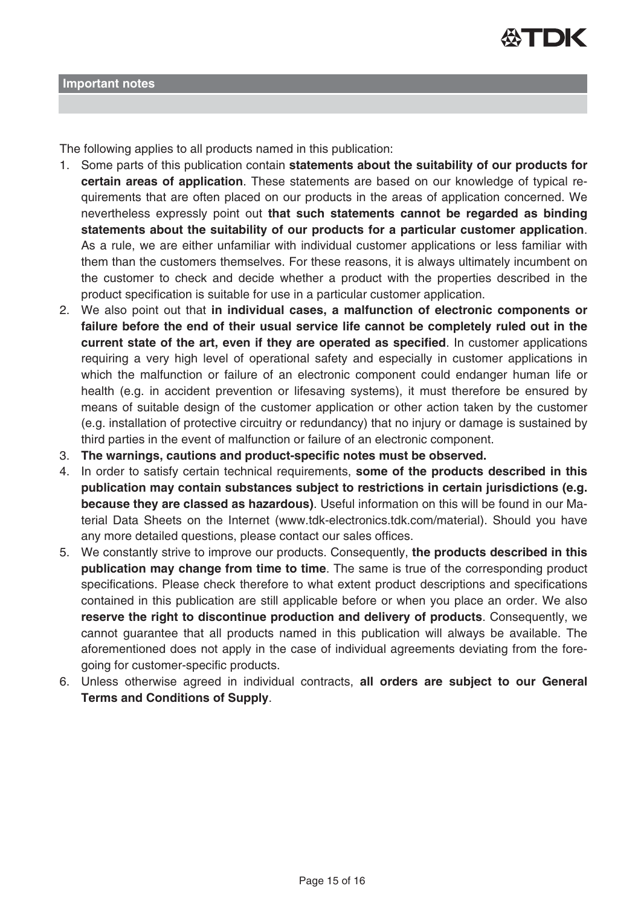

The following applies to all products named in this publication:

- 1. Some parts of this publication contain **statements about the suitability of our products for certain areas of application**. These statements are based on our knowledge of typical requirements that are often placed on our products in the areas of application concerned. We nevertheless expressly point out **that such statements cannot be regarded as binding statements about the suitability of our products for a particular customer application**. As a rule, we are either unfamiliar with individual customer applications or less familiar with them than the customers themselves. For these reasons, it is always ultimately incumbent on the customer to check and decide whether a product with the properties described in the product specification is suitable for use in a particular customer application.
- 2. We also point out that **in individual cases, a malfunction of electronic components or failure before the end of their usual service life cannot be completely ruled out in the current state of the art, even if they are operated as specified**. In customer applications requiring a very high level of operational safety and especially in customer applications in which the malfunction or failure of an electronic component could endanger human life or health (e.g. in accident prevention or lifesaving systems), it must therefore be ensured by means of suitable design of the customer application or other action taken by the customer (e.g. installation of protective circuitry or redundancy) that no injury or damage is sustained by third parties in the event of malfunction or failure of an electronic component.
- 3. **The warnings, cautions and product-specific notes must be observed.**
- 4. In order to satisfy certain technical requirements, **some of the products described in this publication may contain substances subject to restrictions in certain jurisdictions (e.g. because they are classed as hazardous)**. Useful information on this will be found in our Material Data Sheets on the Internet (www.tdk-electronics.tdk.com/material). Should you have any more detailed questions, please contact our sales offices.
- 5. We constantly strive to improve our products. Consequently, **the products described in this publication may change from time to time**. The same is true of the corresponding product specifications. Please check therefore to what extent product descriptions and specifications contained in this publication are still applicable before or when you place an order. We also **reserve the right to discontinue production and delivery of products**. Consequently, we cannot guarantee that all products named in this publication will always be available. The aforementioned does not apply in the case of individual agreements deviating from the foregoing for customer-specific products.
- 6. Unless otherwise agreed in individual contracts, **all orders are subject to our General Terms and Conditions of Supply**.